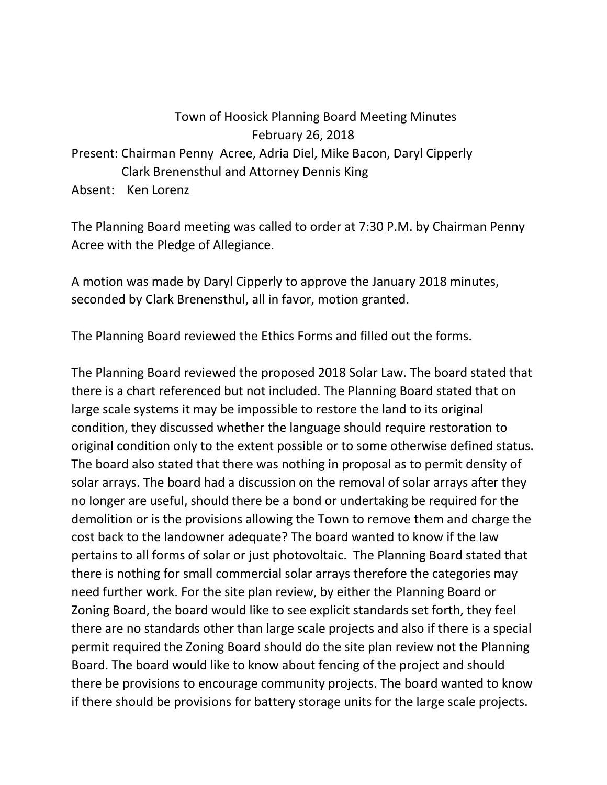## Town of Hoosick Planning Board Meeting Minutes February 26, 2018 Present: Chairman Penny Acree, Adria Diel, Mike Bacon, Daryl Cipperly Clark Brenensthul and Attorney Dennis King Absent: Ken Lorenz

The Planning Board meeting was called to order at 7:30 P.M. by Chairman Penny Acree with the Pledge of Allegiance.

A motion was made by Daryl Cipperly to approve the January 2018 minutes, seconded by Clark Brenensthul, all in favor, motion granted.

The Planning Board reviewed the Ethics Forms and filled out the forms.

The Planning Board reviewed the proposed 2018 Solar Law. The board stated that there is a chart referenced but not included. The Planning Board stated that on large scale systems it may be impossible to restore the land to its original condition, they discussed whether the language should require restoration to original condition only to the extent possible or to some otherwise defined status. The board also stated that there was nothing in proposal as to permit density of solar arrays. The board had a discussion on the removal of solar arrays after they no longer are useful, should there be a bond or undertaking be required for the demolition or is the provisions allowing the Town to remove them and charge the cost back to the landowner adequate? The board wanted to know if the law pertains to all forms of solar or just photovoltaic. The Planning Board stated that there is nothing for small commercial solar arrays therefore the categories may need further work. For the site plan review, by either the Planning Board or Zoning Board, the board would like to see explicit standards set forth, they feel there are no standards other than large scale projects and also if there is a special permit required the Zoning Board should do the site plan review not the Planning Board. The board would like to know about fencing of the project and should there be provisions to encourage community projects. The board wanted to know if there should be provisions for battery storage units for the large scale projects.